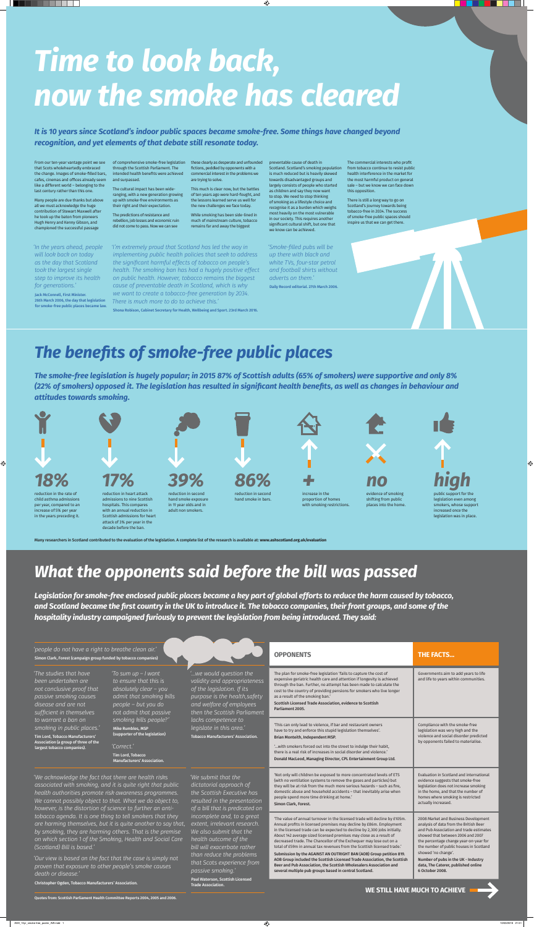From our ten-year vantage point we see that Scots wholeheartedly embraced the change. Images of smoke-filled bars, cafes, cinemas and offices already seem like a different world – belonging to the last century rather than this one.

Many people are due thanks but above all we must acknowledge the huge contribution of Stewart Maxwell after he took up the baton from pioneers Hugh Henry and Kenny Gibson, and championed the successful passage

of comprehensive smoke-free legislation through the Scottish Parliament. The intended health benefits were achieved and surpassed.

The cultural impact has been wideranging, with a new generation growing up with smoke-free environments as their right and their expectation.

The predictions of resistance and rebellion, job losses and economic ruin did not come to pass. Now we can see

these clearly as desperate and unfounded fictions, peddled by opponents with a commercial interest in the problems we are trying to solve.

This much is clear now, but the battles of ten years ago were hard-fought, and the lessons learned serve us well for the new challenges we face today.

While smoking has been side-lined in much of mainstream culture, tobacco remains far and away the biggest

preventable cause of death in

 $\bigoplus$ 

Scotland. Scotland's smoking population is much reduced but is heavily skewed towards disadvantaged groups and largely consists of people who started as children and say they now want to stop. We need to stop thinking of smoking as a lifestyle choice and recognise it as a burden which weighs most heavily on the most vulnerable in our society. This requires another significant cultural shift, but one that

we know can be achieved.

The commercial interests who profit from tobacco continue to resist public health interference in the market for the most harmful product on general sale – but we know we can face down this opposition.

There is still a long way to go on Scotland's journey towards being tobacco-free in 2034. The success of smoke-free public spaces should inspire us that we can get there.

# *Time to look back, now the smoke has cleared*

*It is 10 years since Scotland's indoor public spaces became smoke-free. Some things have changed beyond recognition, and yet elements of that debate still resonate today.*

> *'Smoke-filled pubs will be up there with black and white TVs, four-star petrol and football shirts without adverts on them.'*  Daily Record editorial. 27th March 2006.

# *The benefits of smoke-free public places*

*The smoke-free legislation is hugely popular; in 2015 87% of Scottish adults (65% of smokers) were supportive and only 8% (22% of smokers) opposed it. The legislation has resulted in significant health benefits, as well as changes in behaviour and attitudes towards smoking.*

*Legislation for smoke-free enclosed public places became a key part of global efforts to reduce the harm caused by tobacco, and Scotland became the first country in the UK to introduce it. The tobacco companies, their front groups, and some of the hospitality industry campaigned furiously to prevent the legislation from being introduced. They said:*



Many researchers in Scotland contributed to the evaluation of the legislation. A complete list of the research is available at: **www.ashscotland.org.uk/evaluation**

for only will children be exposed to more concentrated le (with no ventilation systems to remove the gases and particles) but they will be at risk from the much more serious hazards – such as fire, domestic abuse and household accidents – that inevitably arise when people spend more time drinking at home.' Simon Clark, Forest. Evaluation in Scotland and international evidence suggests that smoke-free legislation does not increase smoking in the home, and that the number of homes where smoking is restricted actually increased. 'The value of annual turnover in the licensed trade will decline by £105m. Annual profits in licensed premises may decline by £86m. Employment in the licensed trade can be expected to decline by 2,300 jobs initially. About 142 average sized licensed premises may close as a result of decreased trade. The Chancellor of the Exchequer may lose out on a total of £59m in annual tax revenues from the Scottish licensed trade.' Submission by the AGAINST AN OUTRIGHT BAN (AOB) Group petition 819. AOB Group included the Scottish Licensed Trade Association, the Scottish Beer and Pub Association, the Scottish Wholesalers Association and several multiple pub groups based in central Scotland. 2008 Market and Business Development analysis of data from the British Beer and Pub Association and trade estimates showed that between 2006 and 2007 the percentage change year-on-year for the number of public houses in Scotland showed 'no change'. Number of pubs in the UK - Industry data, The Caterer, published online 6 October 2008.

*'We acknowledge the fact that there are health risks associated with smoking, and it is quite right that public health authorities promote risk awareness programmes. We cannot possibly object to that. What we do object to, however, is the distortion of science to further an antitobacco agenda. It is one thing to tell smokers that they are harming themselves, but it is quite another to say that, by smoking, they are harming others. That is the premise on which section 1 of the Smoking, Health and Social Care (Scotland) Bill is based.'* 

*'Our view is based on the fact that the case is simply not proven that exposure to other people's smoke causes death or disease.'* 

Christopher Ogden, Tobacco Manufacturers' Association.

| 'people do not have a right to breathe clean air.'<br>Simon Clark, Forest (campaign group funded by tobacco companies)                                                                                                                                                                                                  |                                                                                                                                                        | <b>OPPONENTS</b>                                                                                                                                                                                                                                                                   | <b>THE FACTS</b>                                                                                                                                                                                                                                                                                                                                                                                                 |                                                                                                                                                      |
|-------------------------------------------------------------------------------------------------------------------------------------------------------------------------------------------------------------------------------------------------------------------------------------------------------------------------|--------------------------------------------------------------------------------------------------------------------------------------------------------|------------------------------------------------------------------------------------------------------------------------------------------------------------------------------------------------------------------------------------------------------------------------------------|------------------------------------------------------------------------------------------------------------------------------------------------------------------------------------------------------------------------------------------------------------------------------------------------------------------------------------------------------------------------------------------------------------------|------------------------------------------------------------------------------------------------------------------------------------------------------|
| 'The studies that have<br>been undertaken are<br>not conclusive proof that<br>passive smoking causes<br>disease and are not<br>sufficient in themselves<br>to warrant a ban on<br>smoking in public places.'<br>Tim Lord, Tobacco Manufacturers'<br>Association (a group of three of the<br>largest tobacco companies). | 'To sum up – I want<br>to ensure that this is<br>absolutely clear $-$ you<br>admit that smoking kills<br>people - but you do<br>not admit that passive | "we would question the<br>validity and appropriateness<br>of the legislation. If its<br>purpose is the health, safety<br>and welfare of employees<br>then the Scottish Parliament<br>lacks competence to<br>legislate in this area.'<br><b>Tobacco Manufacturers' Association.</b> | The plan for smoke-free legislation 'fails to capture the cost of<br>expensive geriatric health care and attention if longevity is achieved<br>through the ban. Further, no attempt has been made to calculate the<br>cost to the country of providing pensions for smokers who live longer<br>as a result of the smoking ban.'<br>Scottish Licensed Trade Association, evidence to Scottish<br>Parliament 2005. | Governments aim to add years to life<br>and life to years within communities.                                                                        |
|                                                                                                                                                                                                                                                                                                                         | smoking kills people?'<br>Mike Rumbles, MSP<br>(supporter of the legislation)<br>'Correct.'<br>Tim Lord, Tobacco<br><b>Manufacturers' Association.</b> |                                                                                                                                                                                                                                                                                    | 'This can only lead to violence, if bar and restaurant owners<br>have to try and enforce this stupid legislation themselves'.<br>Brian Monteith, Independent MSP.<br>" with smokers forced out into the street to indulge their habit,<br>there is a real risk of increases in social disorder and violence.'<br>Donald MacLeod, Managing Director, CPL Entertainment Group Ltd.                                 | Compliance with the smoke-free<br>legislation was very high and the<br>violence and social disorder predicted<br>by opponents failed to materialise. |
|                                                                                                                                                                                                                                                                                                                         |                                                                                                                                                        |                                                                                                                                                                                                                                                                                    | Alet e skuldet de la seu le consecuence de seus especientos de la cole de ETC.                                                                                                                                                                                                                                                                                                                                   | Evaluation in Coordenal and integrati                                                                                                                |

*'We submit that the dictatorial approach of the Scottish Executive has resulted in the presentation of a bill that is predicated on incomplete and, to a great extent, irrelevant research. We also submit that the health outcome of the bill will exacerbate rather than reduce the problems that Scots experience from passive smoking.'*  Paul Waterson, Scottish Licensed Trade Association.

Quotes from: Scottish Parliament Health Committee Reports 2004, 2005 and 2006.

 $\bigoplus$ 

# *What the opponents said before the bill was passed*

**WE STILL HAVE MUCH TO ACHIEVE**

*'I'm extremely proud that Scotland has led the way in implementing public health policies that seek to address the significant harmful effects of tobacco on people's health. The smoking ban has had a hugely positive effect on public health. However, tobacco remains the biggest cause of preventable death in Scotland, which is why we want to create a tobacco-free generation by 2034. There is much more to do to achieve this.'* 

Shona Robison, Cabinet Secretary for Health, Wellbeing and Sport. 23rd March 2016.

*'In the years ahead, people will look back on today as the day that Scotland took the largest single step to improve its health for generations.'*

Jack McConnell, First Minister. 26th March 2006, the day that legislation for smoke-free public places became law.

 $\bigcirc\hspace{-1.45mm}\bigcirc$